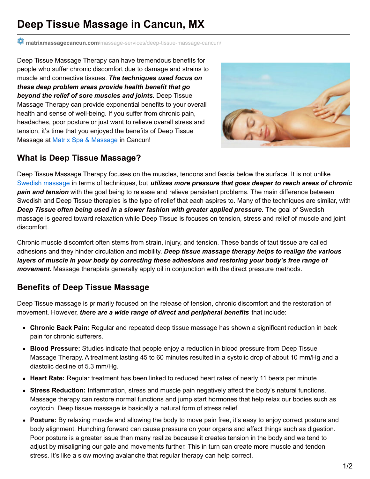## **Deep Tissue Massage in Cancun, MX**

**matrixmassagecancun.com**[/massage-services/deep-tissue-massage-cancun/](http://matrixmassagecancun.com/massage-services/deep-tissue-massage-cancun/)

Deep Tissue Massage Therapy can have tremendous benefits for people who suffer chronic discomfort due to damage and strains to muscle and connective tissues. *The techniques used focus on these deep problem areas provide health benefit that go beyond the relief of sore muscles and joints.* Deep Tissue Massage Therapy can provide exponential benefits to your overall health and sense of well-being. If you suffer from chronic pain, headaches, poor posture or just want to relieve overall stress and tension, it's time that you enjoyed the benefits of Deep Tissue Massage at Matrix Spa & [Massage](http://matrixmassagecancun.com/) in Cancun!



## **What is Deep Tissue Massage?**

Deep Tissue Massage Therapy focuses on the muscles, tendons and fascia below the surface. It is not unlike Swedish [massage](http://matrixmassagecancun.com/massage-services/general-massage-cancun/) in terms of techniques, but *utilizes more pressure that goes deeper to reach areas of chronic pain and tension* with the goal being to release and relieve persistent problems. The main difference between Swedish and Deep Tissue therapies is the type of relief that each aspires to. Many of the techniques are similar, with *Deep Tissue often being used in a slower fashion with greater applied pressure.* The goal of Swedish massage is geared toward relaxation while Deep Tissue is focuses on tension, stress and relief of muscle and joint discomfort.

Chronic muscle discomfort often stems from strain, injury, and tension. These bands of taut tissue are called adhesions and they hinder circulation and mobility. *Deep tissue massage therapy helps to realign the various layers of muscle in your body by correcting these adhesions and restoring your body's free range of movement.* Massage therapists generally apply oil in conjunction with the direct pressure methods.

## **Benefits of Deep Tissue Massage**

Deep Tissue massage is primarily focused on the release of tension, chronic discomfort and the restoration of movement. However, *there are a wide range of direct and peripheral benefits* that include:

- **Chronic Back Pain:** Regular and repeated deep tissue massage has shown a significant reduction in back pain for chronic sufferers.
- **Blood Pressure:** Studies indicate that people enjoy a reduction in blood pressure from Deep Tissue Massage Therapy. A treatment lasting 45 to 60 minutes resulted in a systolic drop of about 10 mm/Hg and a diastolic decline of 5.3 mm/Hg.
- **Heart Rate:** Regular treatment has been linked to reduced heart rates of nearly 11 beats per minute.
- **Stress Reduction:** Inflammation, stress and muscle pain negatively affect the body's natural functions. Massage therapy can restore normal functions and jump start hormones that help relax our bodies such as oxytocin. Deep tissue massage is basically a natural form of stress relief.
- **Posture:** By relaxing muscle and allowing the body to move pain free, it's easy to enjoy correct posture and body alignment. Hunching forward can cause pressure on your organs and affect things such as digestion. Poor posture is a greater issue than many realize because it creates tension in the body and we tend to adjust by misaligning our gate and movements further. This in turn can create more muscle and tendon stress. It's like a slow moving avalanche that regular therapy can help correct.